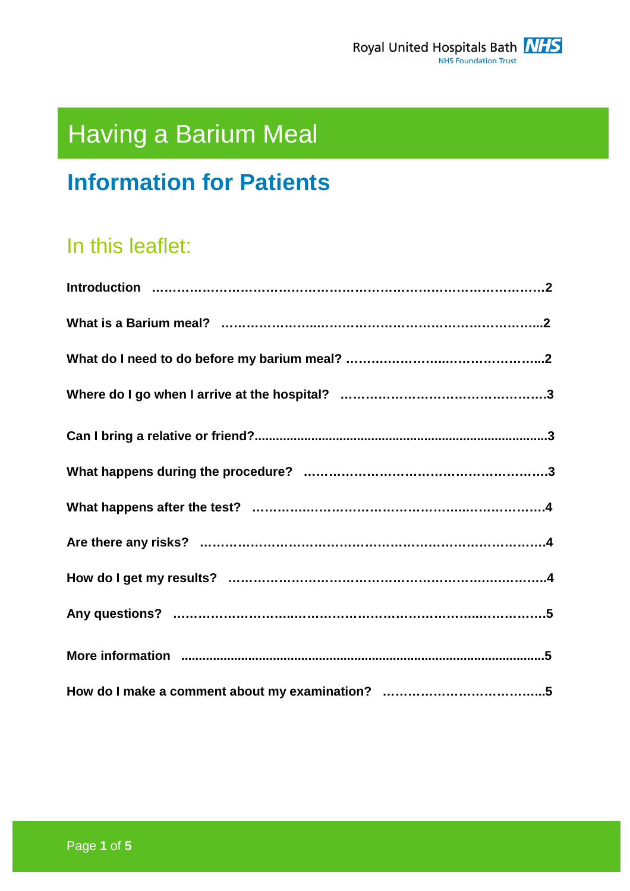

# Having a Barium Meal

## **Information for Patients**

## In this leaflet: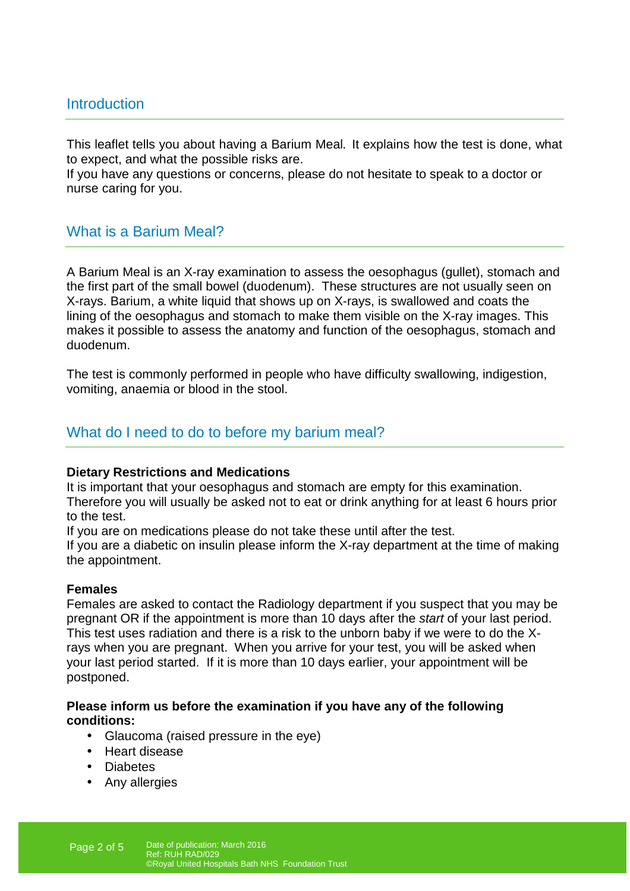## Introduction

This leaflet tells you about having a Barium Meal. It explains how the test is done, what to expect, and what the possible risks are.

If you have any questions or concerns, please do not hesitate to speak to a doctor or nurse caring for you.

## What is a Barium Meal?

A Barium Meal is an X-ray examination to assess the oesophagus (gullet), stomach and the first part of the small bowel (duodenum). These structures are not usually seen on X-rays. Barium, a white liquid that shows up on X-rays, is swallowed and coats the lining of the oesophagus and stomach to make them visible on the X-ray images. This makes it possible to assess the anatomy and function of the oesophagus, stomach and duodenum.

The test is commonly performed in people who have difficulty swallowing, indigestion, vomiting, anaemia or blood in the stool.

## What do I need to do to before my barium meal?

#### **Dietary Restrictions and Medications**

It is important that your oesophagus and stomach are empty for this examination. Therefore you will usually be asked not to eat or drink anything for at least 6 hours prior to the test.

If you are on medications please do not take these until after the test.

If you are a diabetic on insulin please inform the X-ray department at the time of making the appointment.

#### **Females**

Females are asked to contact the Radiology department if you suspect that you may be pregnant OR if the appointment is more than 10 days after the start of your last period. This test uses radiation and there is a risk to the unborn baby if we were to do the Xrays when you are pregnant. When you arrive for your test, you will be asked when your last period started. If it is more than 10 days earlier, your appointment will be postponed.

#### **Please inform us before the examination if you have any of the following conditions:**

- Glaucoma (raised pressure in the eye)
- Heart disease
- Diabetes
- Any allergies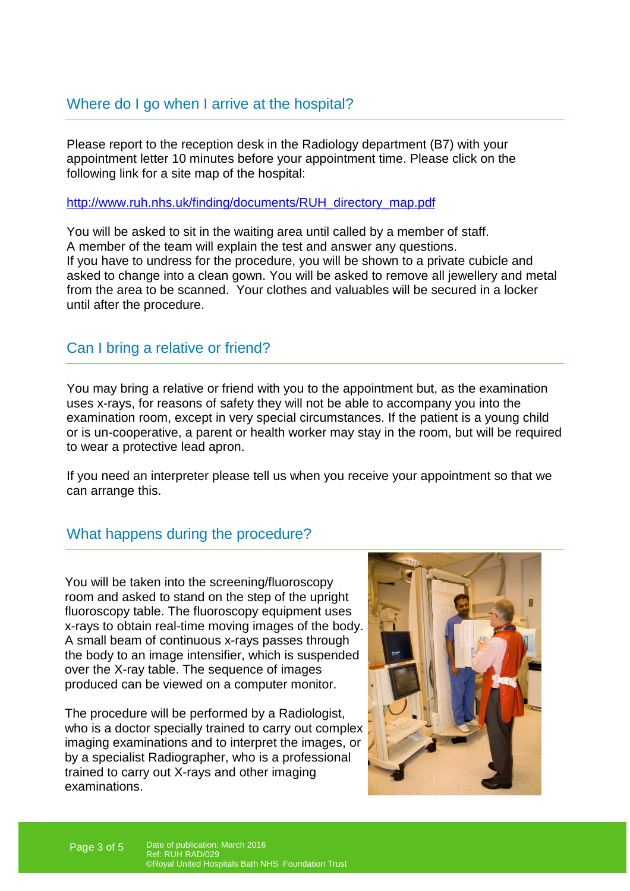Please report to the reception desk in the Radiology department (B7) with your appointment letter 10 minutes before your appointment time. Please click on the following link for a site map of the hospital:

http://www.ruh.nhs.uk/finding/documents/RUH\_directory\_map.pdf

You will be asked to sit in the waiting area until called by a member of staff. A member of the team will explain the test and answer any questions. If you have to undress for the procedure, you will be shown to a private cubicle and asked to change into a clean gown. You will be asked to remove all jewellery and metal from the area to be scanned. Your clothes and valuables will be secured in a locker until after the procedure.

## Can I bring a relative or friend?

You may bring a relative or friend with you to the appointment but, as the examination uses x-rays, for reasons of safety they will not be able to accompany you into the examination room, except in very special circumstances. If the patient is a young child or is un-cooperative, a parent or health worker may stay in the room, but will be required to wear a protective lead apron.

If you need an interpreter please tell us when you receive your appointment so that we can arrange this.

## What happens during the procedure?

You will be taken into the screening/fluoroscopy room and asked to stand on the step of the upright fluoroscopy table. The fluoroscopy equipment uses x-rays to obtain real-time moving images of the body. A small beam of continuous x-rays passes through the body to an image intensifier, which is suspended over the X-ray table. The sequence of images produced can be viewed on a computer monitor.

The procedure will be performed by a Radiologist, who is a doctor specially trained to carry out complex imaging examinations and to interpret the images, or by a specialist Radiographer, who is a professional trained to carry out X-rays and other imaging examinations.

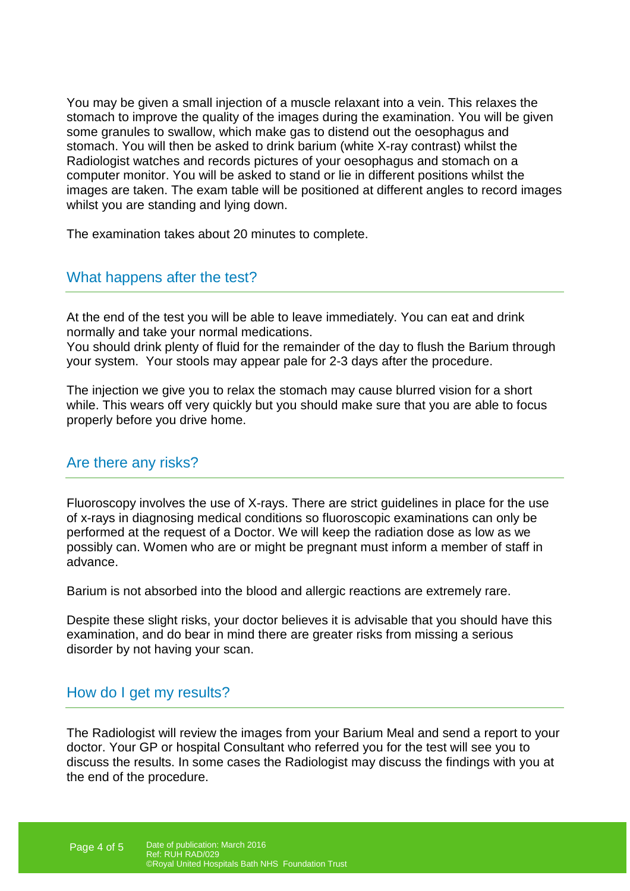You may be given a small injection of a muscle relaxant into a vein. This relaxes the stomach to improve the quality of the images during the examination. You will be given some granules to swallow, which make gas to distend out the oesophagus and stomach. You will then be asked to drink barium (white X-ray contrast) whilst the Radiologist watches and records pictures of your oesophagus and stomach on a computer monitor. You will be asked to stand or lie in different positions whilst the images are taken. The exam table will be positioned at different angles to record images whilst you are standing and lying down.

The examination takes about 20 minutes to complete.

## What happens after the test?

At the end of the test you will be able to leave immediately. You can eat and drink normally and take your normal medications.

You should drink plenty of fluid for the remainder of the day to flush the Barium through your system. Your stools may appear pale for 2-3 days after the procedure.

The injection we give you to relax the stomach may cause blurred vision for a short while. This wears off very quickly but you should make sure that you are able to focus properly before you drive home.

#### Are there any risks?

Fluoroscopy involves the use of X-rays. There are strict guidelines in place for the use of x-rays in diagnosing medical conditions so fluoroscopic examinations can only be performed at the request of a Doctor. We will keep the radiation dose as low as we possibly can. Women who are or might be pregnant must inform a member of staff in advance.

Barium is not absorbed into the blood and allergic reactions are extremely rare.

Despite these slight risks, your doctor believes it is advisable that you should have this examination, and do bear in mind there are greater risks from missing a serious disorder by not having your scan.

## How do I get my results?

The Radiologist will review the images from your Barium Meal and send a report to your doctor. Your GP or hospital Consultant who referred you for the test will see you to discuss the results. In some cases the Radiologist may discuss the findings with you at the end of the procedure.